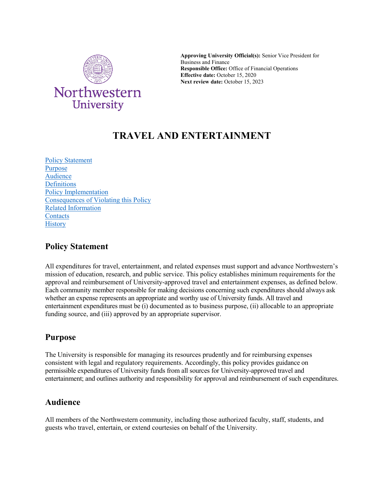

**Approving University Official(s):** Senior Vice President for Business and Finance **Responsible Office:** Office of Financial Operations **Effective date:** October 15, 2020 **Next review date: October 15, 2023** 

# **TRAVEL AND ENTERTAINMENT**

Policy Statement Purpose Audience Definitions Policy Implementation Consequences of Violating this Policy Related Information **Contacts History** 

### **Policy Statement**

All expenditures for travel, entertainment, and related expenses must support and advance Northwestern's mission of education, research, and public service. This policy establishes minimum requirements for the approval and reimbursement of University-approved travel and entertainment expenses, as defined below. Each community member responsible for making decisions concerning such expenditures should always ask whether an expense represents an appropriate and worthy use of University funds. All travel and entertainment expenditures must be (i) documented as to business purpose, (ii) allocable to an appropriate funding source, and (iii) approved by an appropriate supervisor.

### **Purpose**

The University is responsible for managing its resources prudently and for reimbursing expenses consistent with legal and regulatory requirements. Accordingly, this policy provides guidance on permissible expenditures of University funds from all sources for University-approved travel and entertainment; and outlines authority and responsibility for approval and reimbursement of such expenditures.

### **Audience**

All members of the Northwestern community, including those authorized faculty, staff, students, and guests who travel, entertain, or extend courtesies on behalf of the University.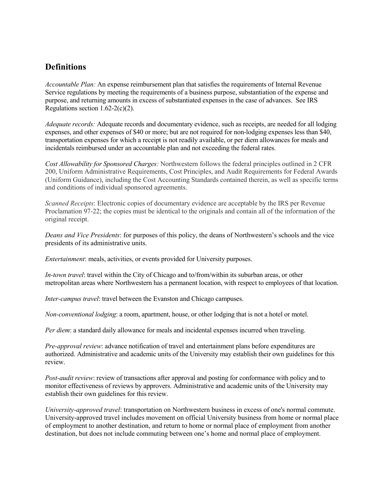### **Definitions**

*Accountable Plan:* An expense reimbursement plan that satisfies the requirements of Internal Revenue Service regulations by meeting the requirements of a business purpose, substantiation of the expense and purpose, and returning amounts in excess of substantiated expenses in the case of advances. See IRS Regulations section  $1.62-2(c)(2)$ .

*Adequate records:* Adequate records and documentary evidence, such as receipts, are needed for all lodging expenses, and other expenses of \$40 or more; but are not required for non-lodging expenses less than \$40, transportation expenses for which a receipt is not readily available, or per diem allowances for meals and incidentals reimbursed under an accountable plan and not exceeding the federal rates.

*Cost Allowability for Sponsored Charges:* Northwestern follows the federal principles outlined in 2 CFR 200, Uniform Administrative Requirements, Cost Principles, and Audit Requirements for Federal Awards (Uniform Guidance), including the Cost Accounting Standards contained therein, as well as specific terms and conditions of individual sponsored agreements.

*Scanned Receipts*: Electronic copies of documentary evidence are acceptable by the IRS per Revenue Proclamation 97-22; the copies must be identical to the originals and contain all of the information of the original receipt.

*Deans and Vice Presidents*: for purposes of this policy, the deans of Northwestern's schools and the vice presidents of its administrative units.

*Entertainment*: meals, activities, or events provided for University purposes.

*In-town travel*: travel within the City of Chicago and to/from/within its suburban areas, or other metropolitan areas where Northwestern has a permanent location, with respect to employees of that location.

*Inter-campus travel*: travel between the Evanston and Chicago campuses.

*Non-conventional lodging*: a room, apartment, house, or other lodging that is not a hotel or motel.

*Per diem*: a standard daily allowance for meals and incidental expenses incurred when traveling.

*Pre-approval review*: advance notification of travel and entertainment plans before expenditures are authorized. Administrative and academic units of the University may establish their own guidelines for this review.

*Post-audit review*: review of transactions after approval and posting for conformance with policy and to monitor effectiveness of reviews by approvers. Administrative and academic units of the University may establish their own guidelines for this review.

*University-approved travel*: transportation on Northwestern business in excess of one's normal commute. University-approved travel includes movement on official University business from home or normal place of employment to another destination, and return to home or normal place of employment from another destination, but does not include commuting between one's home and normal place of employment.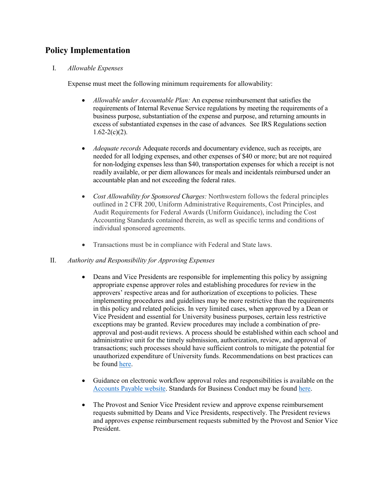### **Policy Implementation**

I. *Allowable Expenses*

Expense must meet the following minimum requirements for allowability:

- *Allowable under Accountable Plan:* An expense reimbursement that satisfies the requirements of Internal Revenue Service regulations by meeting the requirements of a business purpose, substantiation of the expense and purpose, and returning amounts in excess of substantiated expenses in the case of advances. See IRS Regulations section  $1.62 - 2(c)(2)$ .
- *Adequate records* Adequate records and documentary evidence, such as receipts, are needed for all lodging expenses, and other expenses of \$40 or more; but are not required for non-lodging expenses less than \$40, transportation expenses for which a receipt is not readily available, or per diem allowances for meals and incidentals reimbursed under an accountable plan and not exceeding the federal rates.
- *Cost Allowability for Sponsored Charges:* Northwestern follows the federal principles outlined in 2 CFR 200, Uniform Administrative Requirements, Cost Principles, and Audit Requirements for Federal Awards (Uniform Guidance), including the Cost Accounting Standards contained therein, as well as specific terms and conditions of individual sponsored agreements.
- Transactions must be in compliance with Federal and State laws.
- II. *Authority and Responsibility for Approving Expenses*
	- Deans and Vice Presidents are responsible for implementing this policy by assigning appropriate expense approver roles and establishing procedures for review in the approvers' respective areas and for authorization of exceptions to policies. These implementing procedures and guidelines may be more restrictive than the requirements in this policy and related policies. In very limited cases, when approved by a Dean or Vice President and essential for University business purposes, certain less restrictive exceptions may be granted. Review procedures may include a combination of preapproval and post-audit reviews. A process should be established within each school and administrative unit for the timely submission, authorization, review, and approval of transactions; such processes should have sufficient controls to mitigate the potential for unauthorized expenditure of University funds. Recommendations on best practices can be found here.
	- Guidance on electronic workflow approval roles and responsibilities is available on the Accounts Payable website. Standards for Business Conduct may be found here.
	- The Provost and Senior Vice President review and approve expense reimbursement requests submitted by Deans and Vice Presidents, respectively. The President reviews and approves expense reimbursement requests submitted by the Provost and Senior Vice President.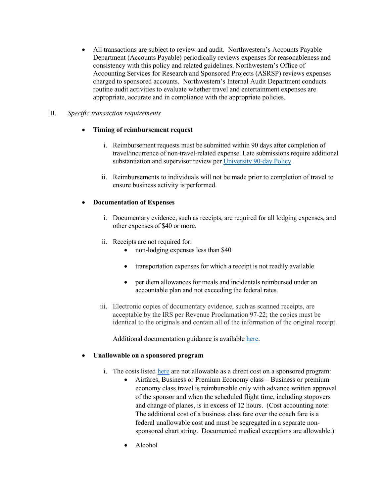• All transactions are subject to review and audit. Northwestern's Accounts Payable Department (Accounts Payable) periodically reviews expenses for reasonableness and consistency with this policy and related guidelines. Northwestern's Office of Accounting Services for Research and Sponsored Projects (ASRSP) reviews expenses charged to sponsored accounts. Northwestern's Internal Audit Department conducts routine audit activities to evaluate whether travel and entertainment expenses are appropriate, accurate and in compliance with the appropriate policies.

#### III. *Specific transaction requirements*

### • **Timing of reimbursement request**

- i. Reimbursement requests must be submitted within 90 days after completion of travel/incurrence of non-travel-related expense. Late submissions require additional substantiation and supervisor review per University 90-day Policy.
- ii. Reimbursements to individuals will not be made prior to completion of travel to ensure business activity is performed.

#### • **Documentation of Expenses**

- i. Documentary evidence, such as receipts, are required for all lodging expenses, and other expenses of \$40 or more.
- ii. Receipts are not required for:
	- non-lodging expenses less than \$40
	- transportation expenses for which a receipt is not readily available
	- per diem allowances for meals and incidentals reimbursed under an accountable plan and not exceeding the federal rates.
- iii. Electronic copies of documentary evidence, such as scanned receipts, are acceptable by the IRS per Revenue Proclamation 97-22; the copies must be identical to the originals and contain all of the information of the original receipt.

Additional documentation guidance is available here.

#### • **Unallowable on a sponsored program**

- i. The costs listed here are not allowable as a direct cost on a sponsored program:
	- Airfares, Business or Premium Economy class Business or premium economy class travel is reimbursable only with advance written approval of the sponsor and when the scheduled flight time, including stopovers and change of planes, is in excess of 12 hours. (Cost accounting note: The additional cost of a business class fare over the coach fare is a federal unallowable cost and must be segregated in a separate nonsponsored chart string. Documented medical exceptions are allowable.)
	- Alcohol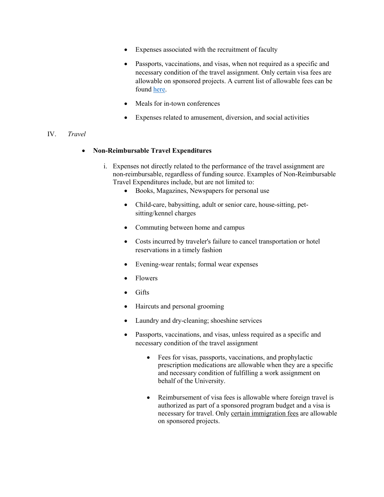- Expenses associated with the recruitment of faculty
- Passports, vaccinations, and visas, when not required as a specific and necessary condition of the travel assignment. Only certain visa fees are allowable on sponsored projects. A current list of allowable fees can be found here.
- Meals for in-town conferences
- Expenses related to amusement, diversion, and social activities

#### IV. *Travel*

#### • **Non-Reimbursable Travel Expenditures**

- i. Expenses not directly related to the performance of the travel assignment are non-reimbursable, regardless of funding source. Examples of Non-Reimbursable Travel Expenditures include, but are not limited to:
	- Books, Magazines, Newspapers for personal use
	- Child-care, babysitting, adult or senior care, house-sitting, petsitting/kennel charges
	- Commuting between home and campus
	- Costs incurred by traveler's failure to cancel transportation or hotel reservations in a timely fashion
	- Evening-wear rentals; formal wear expenses
	- Flowers
	- Gifts
	- Haircuts and personal grooming
	- Laundry and dry-cleaning; shoeshine services
	- Passports, vaccinations, and visas, unless required as a specific and necessary condition of the travel assignment
		- Fees for visas, passports, vaccinations, and prophylactic prescription medications are allowable when they are a specific and necessary condition of fulfilling a work assignment on behalf of the University.
		- Reimbursement of visa fees is allowable where foreign travel is authorized as part of a sponsored program budget and a visa is necessary for travel. Only certain immigration fees are allowable on sponsored projects.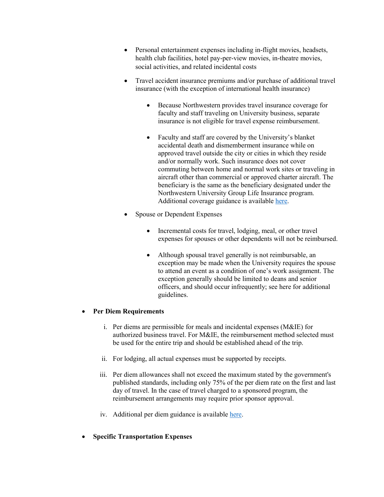- Personal entertainment expenses including in-flight movies, headsets, health club facilities, hotel pay-per-view movies, in-theatre movies, social activities, and related incidental costs
- Travel accident insurance premiums and/or purchase of additional travel insurance (with the exception of international health insurance)
	- Because Northwestern provides travel insurance coverage for faculty and staff traveling on University business, separate insurance is not eligible for travel expense reimbursement.
	- Faculty and staff are covered by the University's blanket accidental death and dismemberment insurance while on approved travel outside the city or cities in which they reside and/or normally work. Such insurance does not cover commuting between home and normal work sites or traveling in aircraft other than commercial or approved charter aircraft. The beneficiary is the same as the beneficiary designated under the Northwestern University Group Life Insurance program. Additional coverage guidance is available here.
- Spouse or Dependent Expenses
	- Incremental costs for travel, lodging, meal, or other travel expenses for spouses or other dependents will not be reimbursed.
	- Although spousal travel generally is not reimbursable, an exception may be made when the University requires the spouse to attend an event as a condition of one's work assignment. The exception generally should be limited to deans and senior officers, and should occur infrequently; see here for additional guidelines.

#### • **Per Diem Requirements**

- i. Per diems are permissible for meals and incidental expenses (M&IE) for authorized business travel. For M&IE, the reimbursement method selected must be used for the entire trip and should be established ahead of the trip.
- ii. For lodging, all actual expenses must be supported by receipts.
- iii. Per diem allowances shall not exceed the maximum stated by the government's published standards, including only 75% of the per diem rate on the first and last day of travel. In the case of travel charged to a sponsored program, the reimbursement arrangements may require prior sponsor approval.
- iv. Additional per diem guidance is available here.
- **Specific Transportation Expenses**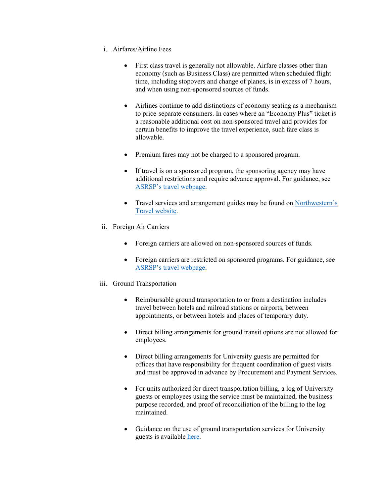- i. Airfares/Airline Fees
	- First class travel is generally not allowable. Airfare classes other than economy (such as Business Class) are permitted when scheduled flight time, including stopovers and change of planes, is in excess of 7 hours, and when using non-sponsored sources of funds.
	- Airlines continue to add distinctions of economy seating as a mechanism to price-separate consumers. In cases where an "Economy Plus" ticket is a reasonable additional cost on non-sponsored travel and provides for certain benefits to improve the travel experience, such fare class is allowable.
	- Premium fares may not be charged to a sponsored program.
	- If travel is on a sponsored program, the sponsoring agency may have additional restrictions and require advance approval. For guidance, see ASRSP's travel webpage.
	- Travel services and arrangement guides may be found on Northwestern's Travel website.
- ii. Foreign Air Carriers
	- Foreign carriers are allowed on non-sponsored sources of funds.
	- Foreign carriers are restricted on sponsored programs. For guidance, see ASRSP's travel webpage.
- iii. Ground Transportation
	- Reimbursable ground transportation to or from a destination includes travel between hotels and railroad stations or airports, between appointments, or between hotels and places of temporary duty.
	- Direct billing arrangements for ground transit options are not allowed for employees.
	- Direct billing arrangements for University guests are permitted for offices that have responsibility for frequent coordination of guest visits and must be approved in advance by Procurement and Payment Services.
	- For units authorized for direct transportation billing, a log of University guests or employees using the service must be maintained, the business purpose recorded, and proof of reconciliation of the billing to the log maintained.
	- Guidance on the use of ground transportation services for University guests is available here.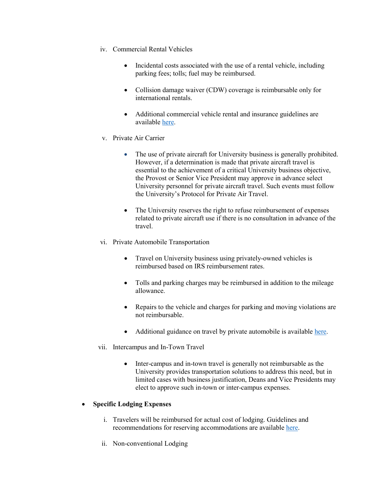- iv. Commercial Rental Vehicles
	- Incidental costs associated with the use of a rental vehicle, including parking fees; tolls; fuel may be reimbursed.
	- Collision damage waiver (CDW) coverage is reimbursable only for international rentals.
	- Additional commercial vehicle rental and insurance guidelines are available here.
- v. Private Air Carrier
	- The use of private aircraft for University business is generally prohibited. However, if a determination is made that private aircraft travel is essential to the achievement of a critical University business objective, the Provost or Senior Vice President may approve in advance select University personnel for private aircraft travel. Such events must follow the University's Protocol for Private Air Travel.
	- The University reserves the right to refuse reimbursement of expenses related to private aircraft use if there is no consultation in advance of the travel.
- vi. Private Automobile Transportation
	- Travel on University business using privately-owned vehicles is reimbursed based on IRS reimbursement rates.
	- Tolls and parking charges may be reimbursed in addition to the mileage allowance.
	- Repairs to the vehicle and charges for parking and moving violations are not reimbursable.
	- Additional guidance on travel by private automobile is available here.
- vii. Intercampus and In-Town Travel
	- Inter-campus and in-town travel is generally not reimbursable as the University provides transportation solutions to address this need, but in limited cases with business justification, Deans and Vice Presidents may elect to approve such in-town or inter-campus expenses.

#### • **Specific Lodging Expenses**

- i. Travelers will be reimbursed for actual cost of lodging. Guidelines and recommendations for reserving accommodations are available here.
- ii. Non-conventional Lodging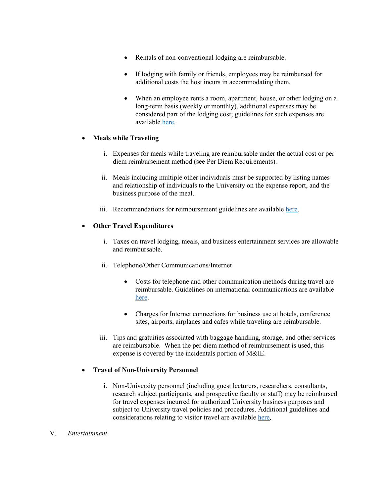- Rentals of non-conventional lodging are reimbursable.
- If lodging with family or friends, employees may be reimbursed for additional costs the host incurs in accommodating them.
- When an employee rents a room, apartment, house, or other lodging on a long-term basis (weekly or monthly), additional expenses may be considered part of the lodging cost; guidelines for such expenses are available here.

#### • **Meals while Traveling**

- i. Expenses for meals while traveling are reimbursable under the actual cost or per diem reimbursement method (see Per Diem Requirements).
- ii. Meals including multiple other individuals must be supported by listing names and relationship of individuals to the University on the expense report, and the business purpose of the meal.
- iii. Recommendations for reimbursement guidelines are available here.

#### • **Other Travel Expenditures**

- i. Taxes on travel lodging, meals, and business entertainment services are allowable and reimbursable.
- ii. Telephone/Other Communications/Internet
	- Costs for telephone and other communication methods during travel are reimbursable. Guidelines on international communications are available here.
	- Charges for Internet connections for business use at hotels, conference sites, airports, airplanes and cafes while traveling are reimbursable.
- iii. Tips and gratuities associated with baggage handling, storage, and other services are reimbursable. When the per diem method of reimbursement is used, this expense is covered by the incidentals portion of M&IE.

#### • **Travel of Non-University Personnel**

i. Non-University personnel (including guest lecturers, researchers, consultants, research subject participants, and prospective faculty or staff) may be reimbursed for travel expenses incurred for authorized University business purposes and subject to University travel policies and procedures. Additional guidelines and considerations relating to visitor travel are available here.

#### V. *Entertainment*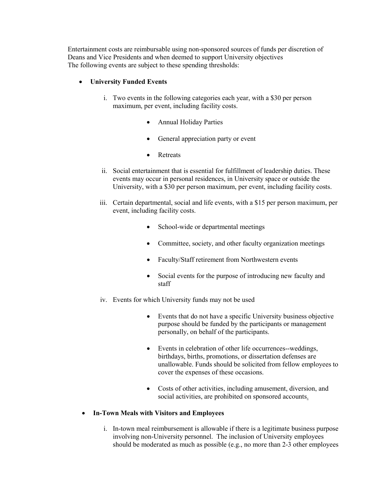Entertainment costs are reimbursable using non-sponsored sources of funds per discretion of Deans and Vice Presidents and when deemed to support University objectives The following events are subject to these spending thresholds:

#### • **University Funded Events**

- i. Two events in the following categories each year, with a \$30 per person maximum, per event, including facility costs.
	- Annual Holiday Parties
	- General appreciation party or event
	- Retreats
- ii. Social entertainment that is essential for fulfillment of leadership duties. These events may occur in personal residences, in University space or outside the University, with a \$30 per person maximum, per event, including facility costs.
- iii. Certain departmental, social and life events, with a \$15 per person maximum, per event, including facility costs.
	- School-wide or departmental meetings
	- Committee, society, and other faculty organization meetings
	- Faculty/Staff retirement from Northwestern events
	- Social events for the purpose of introducing new faculty and staff
- iv. Events for which University funds may not be used
	- Events that do not have a specific University business objective purpose should be funded by the participants or management personally, on behalf of the participants.
	- Events in celebration of other life occurrences--weddings, birthdays, births, promotions, or dissertation defenses are unallowable. Funds should be solicited from fellow employees to cover the expenses of these occasions.
	- Costs of other activities, including amusement, diversion, and social activities, are prohibited on sponsored accounts.

#### • **In-Town Meals with Visitors and Employees**

i. In-town meal reimbursement is allowable if there is a legitimate business purpose involving non-University personnel. The inclusion of University employees should be moderated as much as possible (e.g., no more than 2-3 other employees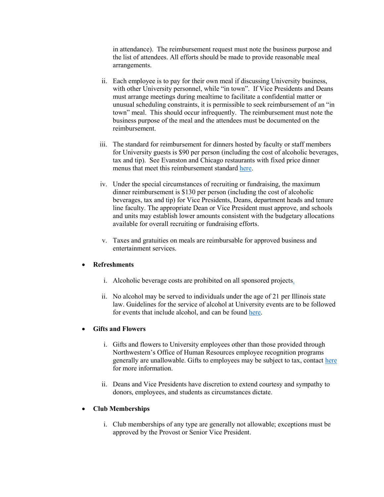in attendance). The reimbursement request must note the business purpose and the list of attendees. All efforts should be made to provide reasonable meal arrangements.

- ii. Each employee is to pay for their own meal if discussing University business, with other University personnel, while "in town". If Vice Presidents and Deans must arrange meetings during mealtime to facilitate a confidential matter or unusual scheduling constraints, it is permissible to seek reimbursement of an "in town" meal. This should occur infrequently. The reimbursement must note the business purpose of the meal and the attendees must be documented on the reimbursement.
- iii. The standard for reimbursement for dinners hosted by faculty or staff members for University guests is \$90 per person (including the cost of alcoholic beverages, tax and tip). See Evanston and Chicago restaurants with fixed price dinner menus that meet this reimbursement standard here.
- iv. Under the special circumstances of recruiting or fundraising, the maximum dinner reimbursement is \$130 per person (including the cost of alcoholic beverages, tax and tip) for Vice Presidents, Deans, department heads and tenure line faculty. The appropriate Dean or Vice President must approve, and schools and units may establish lower amounts consistent with the budgetary allocations available for overall recruiting or fundraising efforts.
- v. Taxes and gratuities on meals are reimbursable for approved business and entertainment services.

#### • **Refreshments**

- i. Alcoholic beverage costs are prohibited on all sponsored projects.
- ii. No alcohol may be served to individuals under the age of 21 per Illinois state law. Guidelines for the service of alcohol at University events are to be followed for events that include alcohol, and can be found here.

#### • **Gifts and Flowers**

- i. Gifts and flowers to University employees other than those provided through Northwestern's Office of Human Resources employee recognition programs generally are unallowable. Gifts to employees may be subject to tax, contact here for more information.
- ii. Deans and Vice Presidents have discretion to extend courtesy and sympathy to donors, employees, and students as circumstances dictate.

#### • **Club Memberships**

i. Club memberships of any type are generally not allowable; exceptions must be approved by the Provost or Senior Vice President.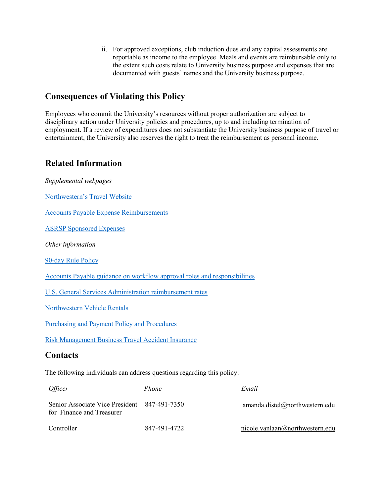ii. For approved exceptions, club induction dues and any capital assessments are reportable as income to the employee. Meals and events are reimbursable only to the extent such costs relate to University business purpose and expenses that are documented with guests' names and the University business purpose.

### **Consequences of Violating this Policy**

Employees who commit the University's resources without proper authorization are subject to disciplinary action under University policies and procedures, up to and including termination of employment. If a review of expenditures does not substantiate the University business purpose of travel or entertainment, the University also reserves the right to treat the reimbursement as personal income.

### **Related Information**

*Supplemental webpages* Northwestern's Travel Website Accounts Payable Expense Reimbursements ASRSP Sponsored Expenses *Other information* 90-day Rule Policy Accounts Payable guidance on workflow approval roles and responsibilities U.S. General Services Administration reimbursement rates Northwestern Vehicle Rentals Purchasing and Payment Policy and Procedures Risk Management Business Travel Accident Insurance **Contacts** The following individuals can address questions regarding this policy:

| Officer                                                                   | Phone        | Email                           |
|---------------------------------------------------------------------------|--------------|---------------------------------|
| Senior Associate Vice President 847-491-7350<br>for Finance and Treasurer |              | amanda.distel@northwestern.edu  |
| Controller                                                                | 847-491-4722 | nicole.vanlaan@northwestern.edu |